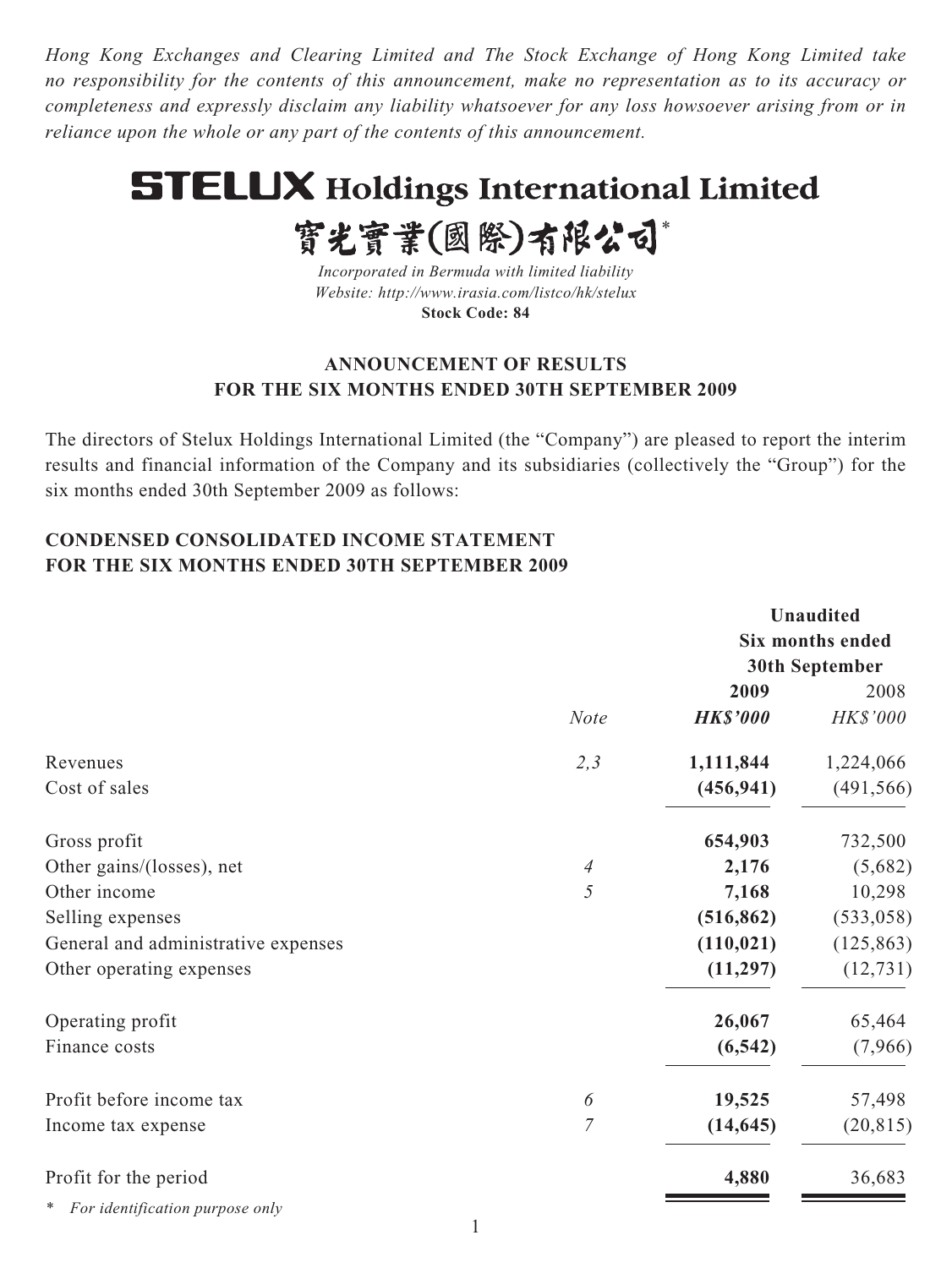*Hong Kong Exchanges and Clearing Limited and The Stock Exchange of Hong Kong Limited take no responsibility for the contents of this announcement, make no representation as to its accuracy or completeness and expressly disclaim any liability whatsoever for any loss howsoever arising from or in reliance upon the whole or any part of the contents of this announcement.*

# **STELUX Holdings International Limited**

實光實業(國際)有限公司\*

*Incorporated in Bermuda with limited liability Website: http://www.irasia.com/listco/hk/stelux* **Stock Code: 84**

## **ANNOUNCEMENT OF RESULTS FOR THE SIX MONTHS ENDED 30TH SEPTEMBER 2009**

The directors of Stelux Holdings International Limited (the "Company") are pleased to report the interim results and financial information of the Company and its subsidiaries (collectively the "Group") for the six months ended 30th September 2009 as follows:

# **CONDENSED CONSOLIDATED INCOME STATEMENT FOR THE SIX MONTHS ENDED 30TH SEPTEMBER 2009**

|                                     |                | <b>Unaudited</b> |                         |  |
|-------------------------------------|----------------|------------------|-------------------------|--|
|                                     |                |                  | <b>Six months ended</b> |  |
|                                     |                |                  | 30th September          |  |
|                                     |                | 2009             | 2008                    |  |
|                                     | <b>Note</b>    | <b>HK\$'000</b>  | <b>HK\$'000</b>         |  |
| Revenues                            | 2,3            | 1,111,844        | 1,224,066               |  |
| Cost of sales                       |                | (456, 941)       | (491, 566)              |  |
| Gross profit                        |                | 654,903          | 732,500                 |  |
| Other gains/(losses), net           | $\overline{4}$ | 2,176            | (5,682)                 |  |
| Other income                        | 5              | 7,168            | 10,298                  |  |
| Selling expenses                    |                | (516, 862)       | (533, 058)              |  |
| General and administrative expenses |                | (110, 021)       | (125, 863)              |  |
| Other operating expenses            |                | (11, 297)        | (12, 731)               |  |
| Operating profit                    |                | 26,067           | 65,464                  |  |
| Finance costs                       |                | (6, 542)         | (7,966)                 |  |
| Profit before income tax            | 6              | 19,525           | 57,498                  |  |
| Income tax expense                  | $\overline{7}$ | (14, 645)        | (20, 815)               |  |
| Profit for the period               |                | 4,880            | 36,683                  |  |
| For identification purpose only     |                |                  |                         |  |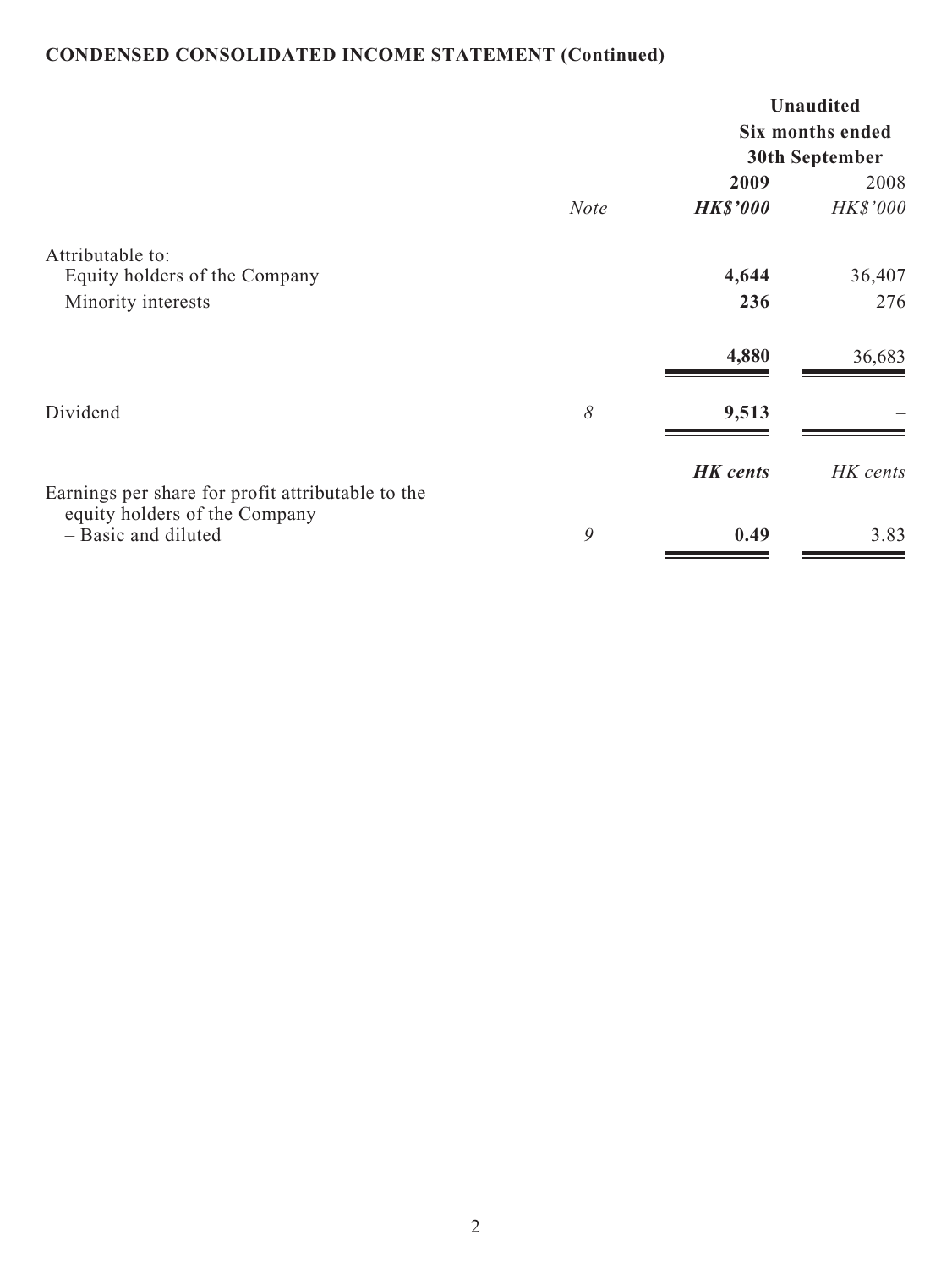# **CONDENSED CONSOLIDATED INCOME STATEMENT (Continued)**

|                                                                         |             | <b>Unaudited</b><br>Six months ended<br>30th September |                  |  |
|-------------------------------------------------------------------------|-------------|--------------------------------------------------------|------------------|--|
|                                                                         | <b>Note</b> | 2009<br><b>HK\$'000</b>                                | 2008<br>HK\$'000 |  |
| Attributable to:<br>Equity holders of the Company<br>Minority interests |             | 4,644<br>236                                           | 36,407<br>276    |  |
|                                                                         |             | 4,880                                                  | 36,683           |  |
| Dividend                                                                | 8           | 9,513                                                  |                  |  |
| Earnings per share for profit attributable to the                       |             | <b>HK</b> cents                                        | HK cents         |  |
| equity holders of the Company<br>- Basic and diluted                    | 9           | 0.49                                                   | 3.83             |  |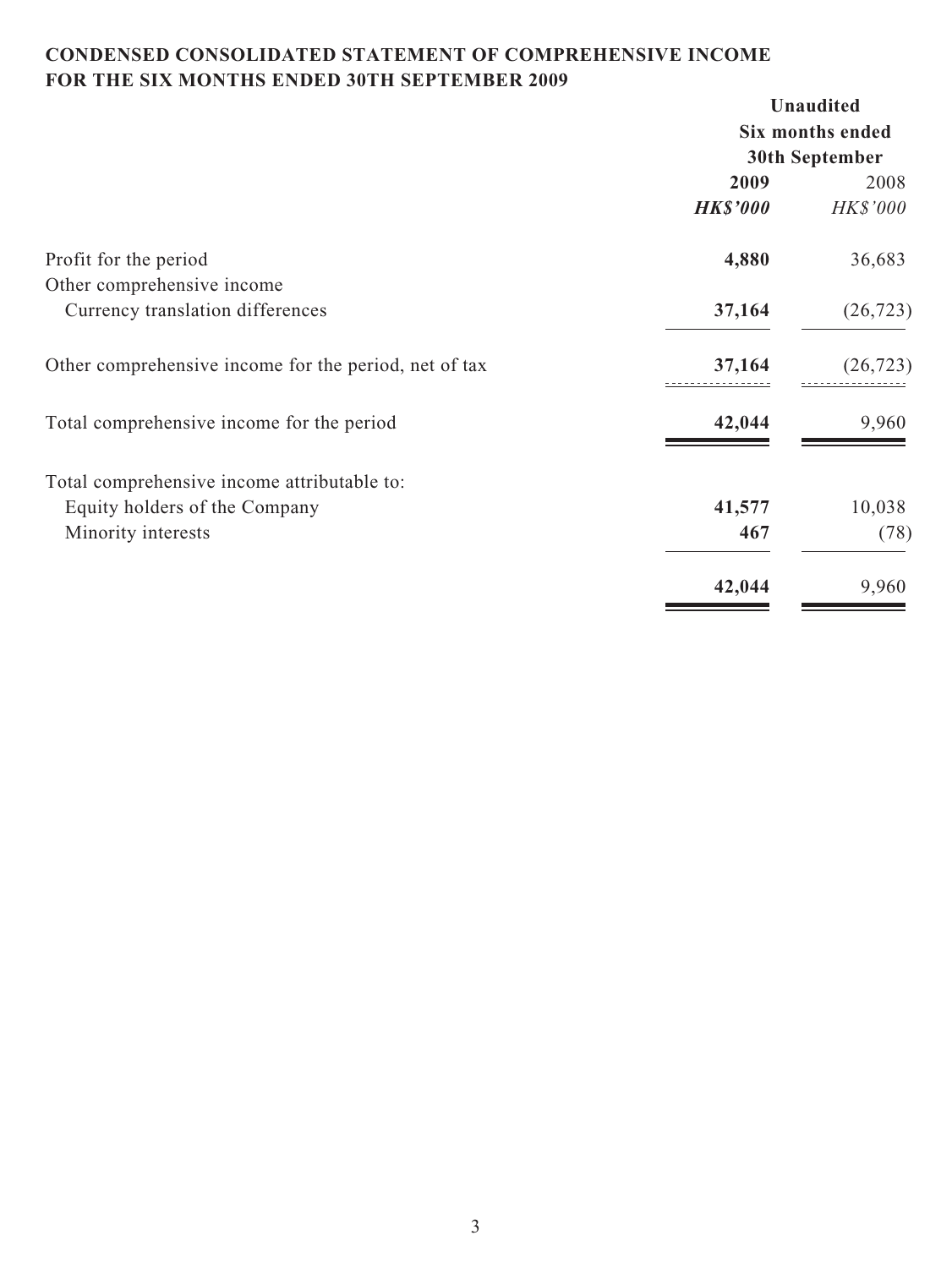# **CONDENSED CONSOLIDATED STATEMENT OF COMPREHENSIVE INCOME FOR THE SIX MONTHS ENDED 30TH SEPTEMBER 2009**

|                                                       |                  | <b>Unaudited</b> |  |
|-------------------------------------------------------|------------------|------------------|--|
|                                                       | Six months ended |                  |  |
|                                                       |                  | 30th September   |  |
|                                                       | 2009             | 2008             |  |
|                                                       | <b>HK\$'000</b>  | <b>HK\$'000</b>  |  |
| Profit for the period                                 | 4,880            | 36,683           |  |
| Other comprehensive income                            |                  |                  |  |
| Currency translation differences                      | 37,164           | (26, 723)        |  |
| Other comprehensive income for the period, net of tax | 37,164           | (26, 723)        |  |
| Total comprehensive income for the period             | 42,044           | 9,960            |  |
| Total comprehensive income attributable to:           |                  |                  |  |
| Equity holders of the Company                         | 41,577           | 10,038           |  |
| Minority interests                                    | 467              | (78)             |  |
|                                                       | 42,044           | 9,960            |  |
|                                                       |                  |                  |  |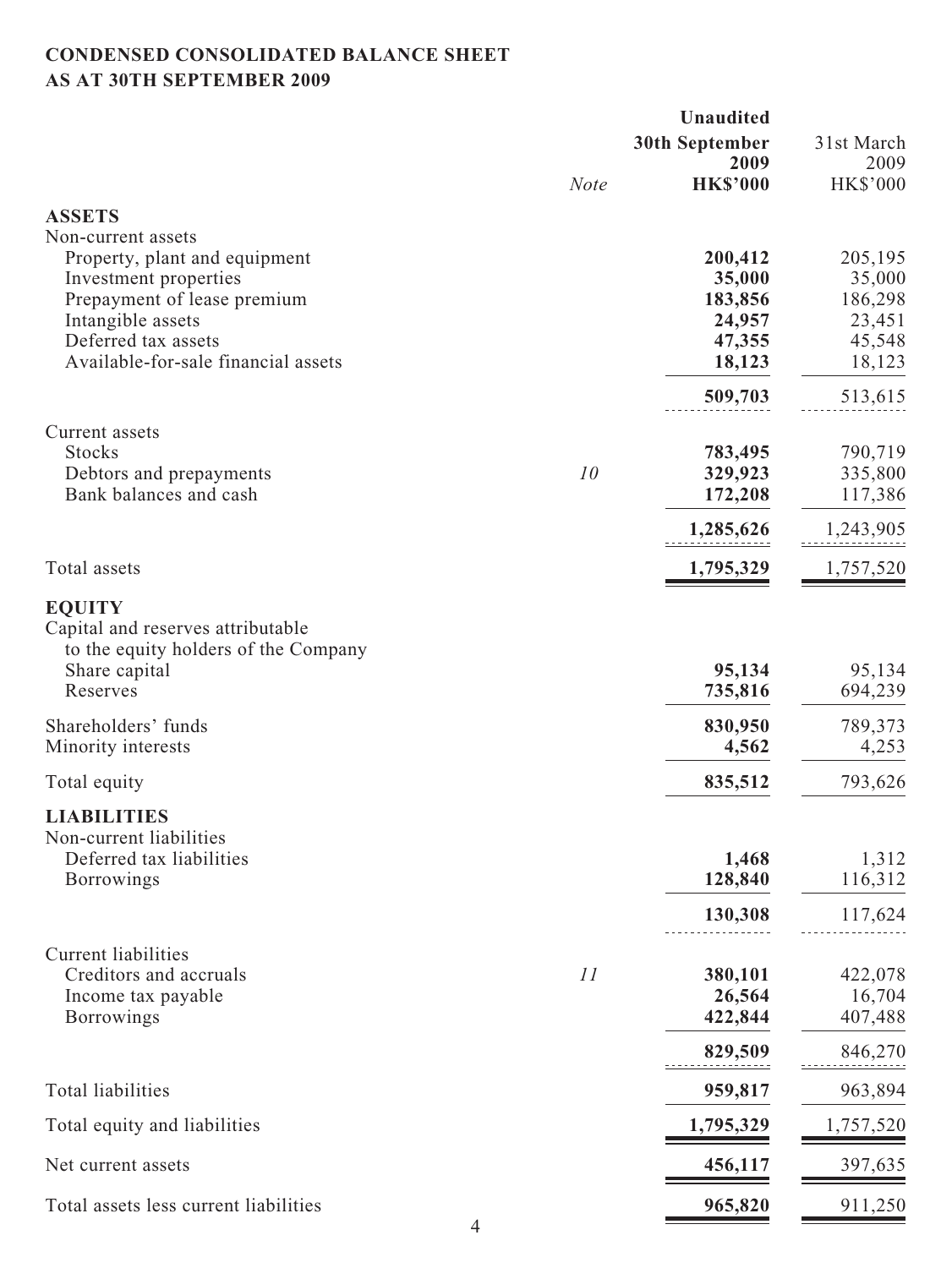## **CONDENSED CONSOLIDATED BALANCE SHEET AS AT 30TH SEPTEMBER 2009**

|                                                                                                                                                         |             | <b>Unaudited</b>                                 |                                                  |
|---------------------------------------------------------------------------------------------------------------------------------------------------------|-------------|--------------------------------------------------|--------------------------------------------------|
|                                                                                                                                                         |             | <b>30th September</b><br>2009                    | 31st March<br>2009                               |
|                                                                                                                                                         | <b>Note</b> | <b>HK\$'000</b>                                  | <b>HK\$'000</b>                                  |
| <b>ASSETS</b>                                                                                                                                           |             |                                                  |                                                  |
| Non-current assets<br>Property, plant and equipment<br>Investment properties<br>Prepayment of lease premium<br>Intangible assets<br>Deferred tax assets |             | 200,412<br>35,000<br>183,856<br>24,957<br>47,355 | 205,195<br>35,000<br>186,298<br>23,451<br>45,548 |
| Available-for-sale financial assets                                                                                                                     |             | 18,123                                           | 18,123                                           |
|                                                                                                                                                         |             | 509,703                                          | 513,615                                          |
| Current assets<br><b>Stocks</b><br>Debtors and prepayments<br>Bank balances and cash                                                                    | 10          | 783,495<br>329,923<br>172,208                    | 790,719<br>335,800<br>117,386                    |
|                                                                                                                                                         |             | 1,285,626                                        | 1,243,905                                        |
| Total assets                                                                                                                                            |             | 1,795,329                                        | 1,757,520                                        |
| <b>EQUITY</b><br>Capital and reserves attributable<br>to the equity holders of the Company<br>Share capital<br>Reserves                                 |             | 95,134<br>735,816                                | 95,134<br>694,239                                |
| Shareholders' funds<br>Minority interests                                                                                                               |             | 830,950<br>4,562                                 | 789,373<br>4,253                                 |
| Total equity                                                                                                                                            |             | 835,512                                          | 793,626                                          |
| <b>LIABILITIES</b><br>Non-current liabilities<br>Deferred tax liabilities<br><b>Borrowings</b>                                                          |             | 1,468<br>128,840                                 | 1,312<br>116,312                                 |
|                                                                                                                                                         |             | 130,308                                          | 117,624                                          |
| <b>Current liabilities</b><br>Creditors and accruals<br>Income tax payable<br><b>Borrowings</b>                                                         | 11          | 380,101<br>26,564<br>422,844                     | 422,078<br>16,704<br>407,488                     |
|                                                                                                                                                         |             | 829,509                                          | 846,270                                          |
| Total liabilities                                                                                                                                       |             | 959,817                                          | 963,894                                          |
| Total equity and liabilities                                                                                                                            |             | 1,795,329                                        | 1,757,520                                        |
| Net current assets                                                                                                                                      |             | 456,117                                          | 397,635                                          |
| Total assets less current liabilities                                                                                                                   |             | 965,820                                          | 911,250                                          |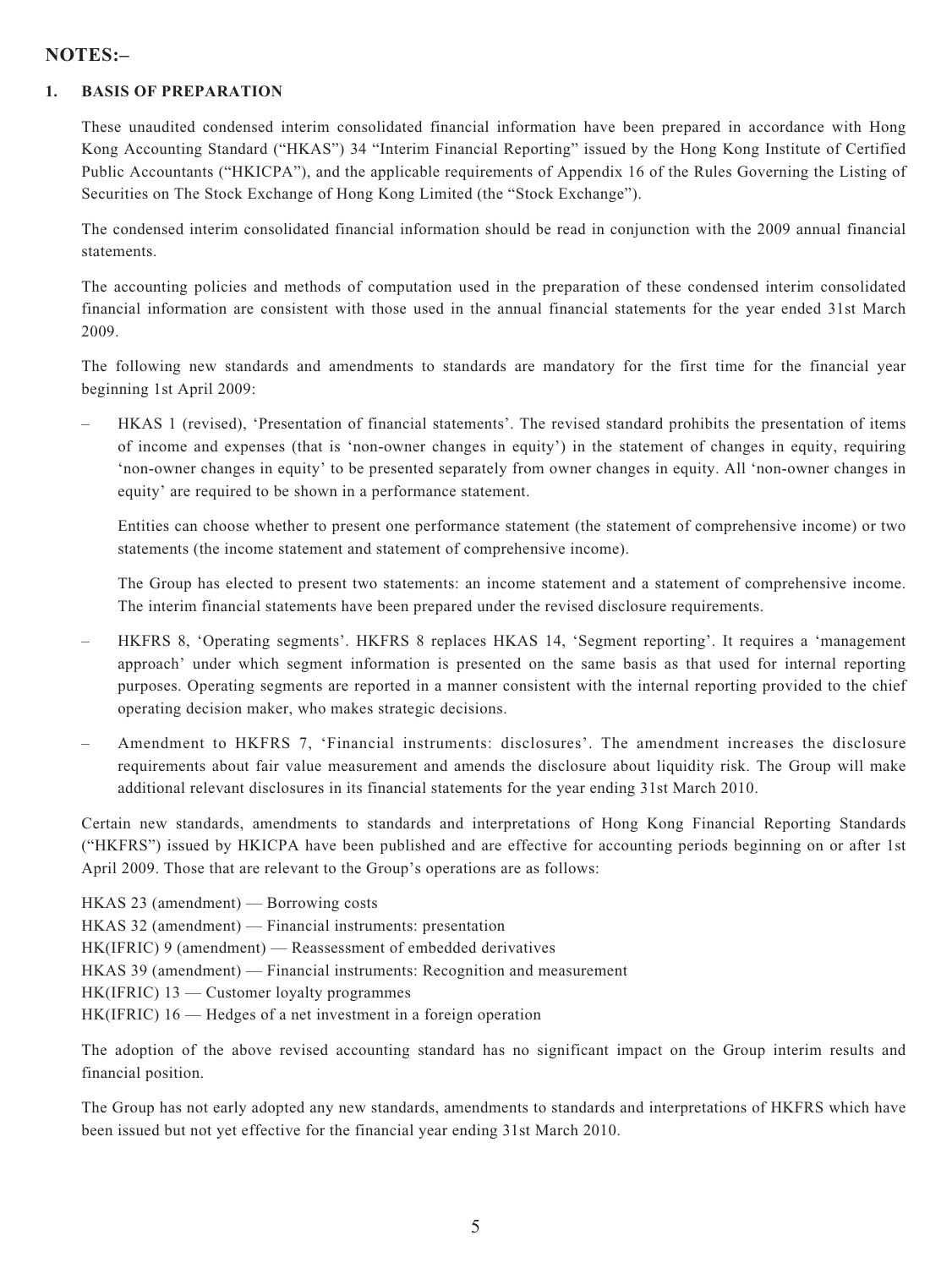## **NOTES:–**

#### **1. BASIS OF PREPARATION**

These unaudited condensed interim consolidated financial information have been prepared in accordance with Hong Kong Accounting Standard ("HKAS") 34 "Interim Financial Reporting" issued by the Hong Kong Institute of Certified Public Accountants ("HKICPA"), and the applicable requirements of Appendix 16 of the Rules Governing the Listing of Securities on The Stock Exchange of Hong Kong Limited (the "Stock Exchange").

The condensed interim consolidated financial information should be read in conjunction with the 2009 annual financial statements.

The accounting policies and methods of computation used in the preparation of these condensed interim consolidated financial information are consistent with those used in the annual financial statements for the year ended 31st March 2009.

The following new standards and amendments to standards are mandatory for the first time for the financial year beginning 1st April 2009:

– HKAS 1 (revised), 'Presentation of financial statements'. The revised standard prohibits the presentation of items of income and expenses (that is 'non-owner changes in equity') in the statement of changes in equity, requiring 'non-owner changes in equity' to be presented separately from owner changes in equity. All 'non-owner changes in equity' are required to be shown in a performance statement.

Entities can choose whether to present one performance statement (the statement of comprehensive income) or two statements (the income statement and statement of comprehensive income).

The Group has elected to present two statements: an income statement and a statement of comprehensive income. The interim financial statements have been prepared under the revised disclosure requirements.

- HKFRS 8, 'Operating segments'. HKFRS 8 replaces HKAS 14, 'Segment reporting'. It requires a 'management approach' under which segment information is presented on the same basis as that used for internal reporting purposes. Operating segments are reported in a manner consistent with the internal reporting provided to the chief operating decision maker, who makes strategic decisions.
- Amendment to HKFRS 7, 'Financial instruments: disclosures'. The amendment increases the disclosure requirements about fair value measurement and amends the disclosure about liquidity risk. The Group will make additional relevant disclosures in its financial statements for the year ending 31st March 2010.

Certain new standards, amendments to standards and interpretations of Hong Kong Financial Reporting Standards ("HKFRS") issued by HKICPA have been published and are effective for accounting periods beginning on or after 1st April 2009. Those that are relevant to the Group's operations are as follows:

HKAS 23 (amendment) — Borrowing costs HKAS 32 (amendment) — Financial instruments: presentation HK(IFRIC) 9 (amendment) — Reassessment of embedded derivatives HKAS 39 (amendment) — Financial instruments: Recognition and measurement HK(IFRIC) 13 — Customer loyalty programmes HK(IFRIC) 16 — Hedges of a net investment in a foreign operation

The adoption of the above revised accounting standard has no significant impact on the Group interim results and financial position.

The Group has not early adopted any new standards, amendments to standards and interpretations of HKFRS which have been issued but not yet effective for the financial year ending 31st March 2010.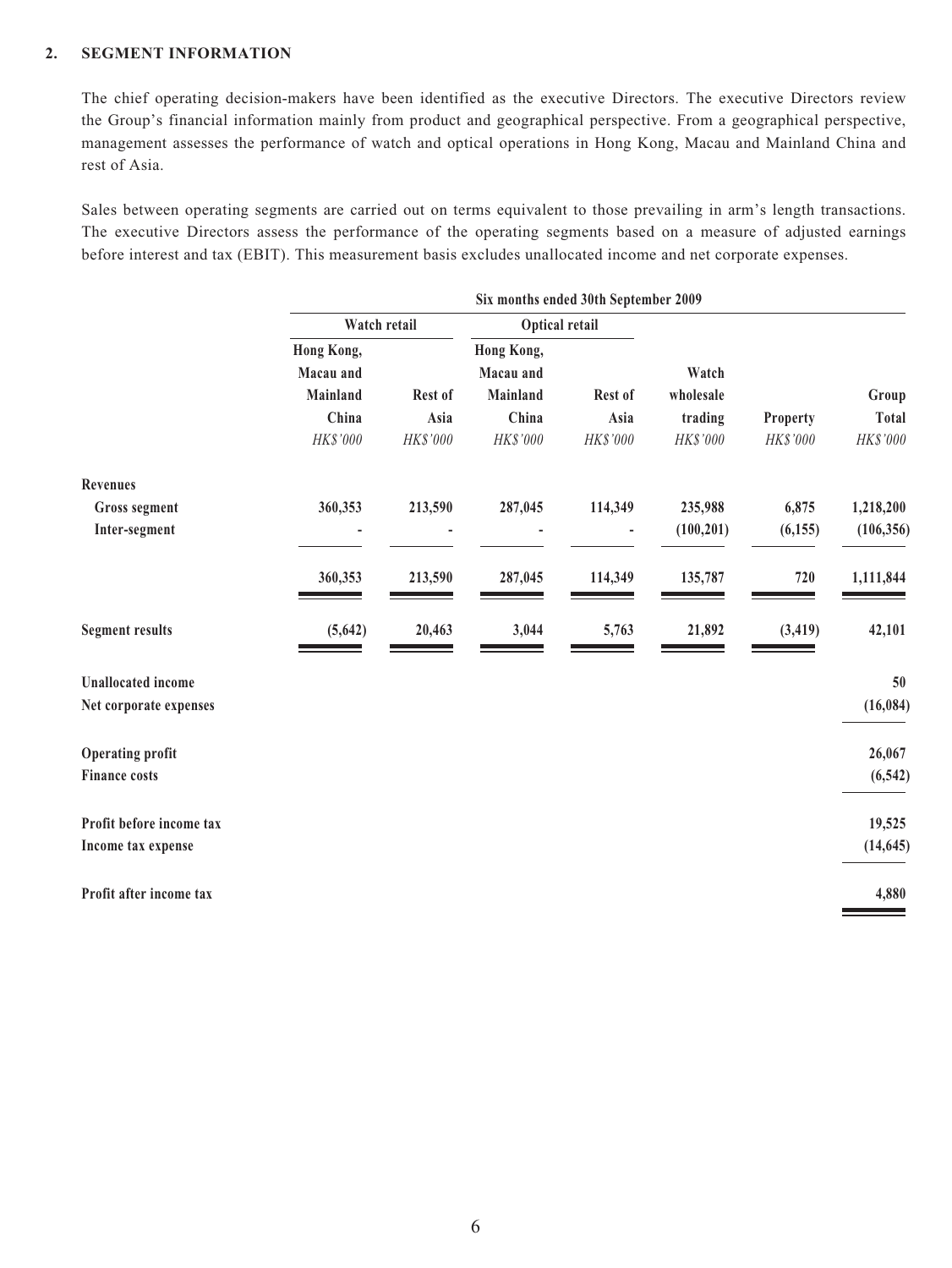#### **2. SEGMENT INFORMATION**

The chief operating decision-makers have been identified as the executive Directors. The executive Directors review the Group's financial information mainly from product and geographical perspective. From a geographical perspective, management assesses the performance of watch and optical operations in Hong Kong, Macau and Mainland China and rest of Asia.

Sales between operating segments are carried out on terms equivalent to those prevailing in arm's length transactions. The executive Directors assess the performance of the operating segments based on a measure of adjusted earnings before interest and tax (EBIT). This measurement basis excludes unallocated income and net corporate expenses.

|              | Six months ended 30th September 2009 |            |          |                         |          |                         |                           |
|--------------|--------------------------------------|------------|----------|-------------------------|----------|-------------------------|---------------------------|
|              |                                      |            |          | Optical retail          |          | Watch retail            |                           |
|              |                                      | Watch      |          | Hong Kong,<br>Macau and |          | Hong Kong,<br>Macau and |                           |
| Group        |                                      | wholesale  | Rest of  | Mainland                | Rest of  | Mainland                |                           |
| <b>Total</b> | Property                             | trading    | Asia     | China                   | Asia     | China                   |                           |
| HK\$'000     | HK\$'000                             | HK\$'000   | HK\$'000 | HK\$'000                | HK\$'000 | HK\$'000                |                           |
|              |                                      |            |          |                         |          |                         | <b>Revenues</b>           |
| 1,218,200    | 6,875                                | 235,988    | 114,349  | 287,045                 | 213,590  | 360,353                 | <b>Gross segment</b>      |
| (106, 356)   | (6, 155)                             | (100, 201) |          |                         |          |                         | Inter-segment             |
| 1,111,844    | 720                                  | 135,787    | 114,349  | 287,045                 | 213,590  | 360,353                 |                           |
| 42,101       | (3, 419)                             | 21,892     | 5,763    | 3,044                   | 20,463   | (5,642)                 | <b>Segment results</b>    |
| 50           |                                      |            |          |                         |          |                         | <b>Unallocated</b> income |
| (16, 084)    |                                      |            |          |                         |          |                         | Net corporate expenses    |
| 26,067       |                                      |            |          |                         |          |                         | <b>Operating profit</b>   |
| (6, 542)     |                                      |            |          |                         |          |                         | <b>Finance costs</b>      |
| 19,525       |                                      |            |          |                         |          |                         | Profit before income tax  |
| (14, 645)    |                                      |            |          |                         |          |                         | Income tax expense        |
| 4,880        |                                      |            |          |                         |          |                         | Profit after income tax   |
|              |                                      |            |          |                         |          |                         |                           |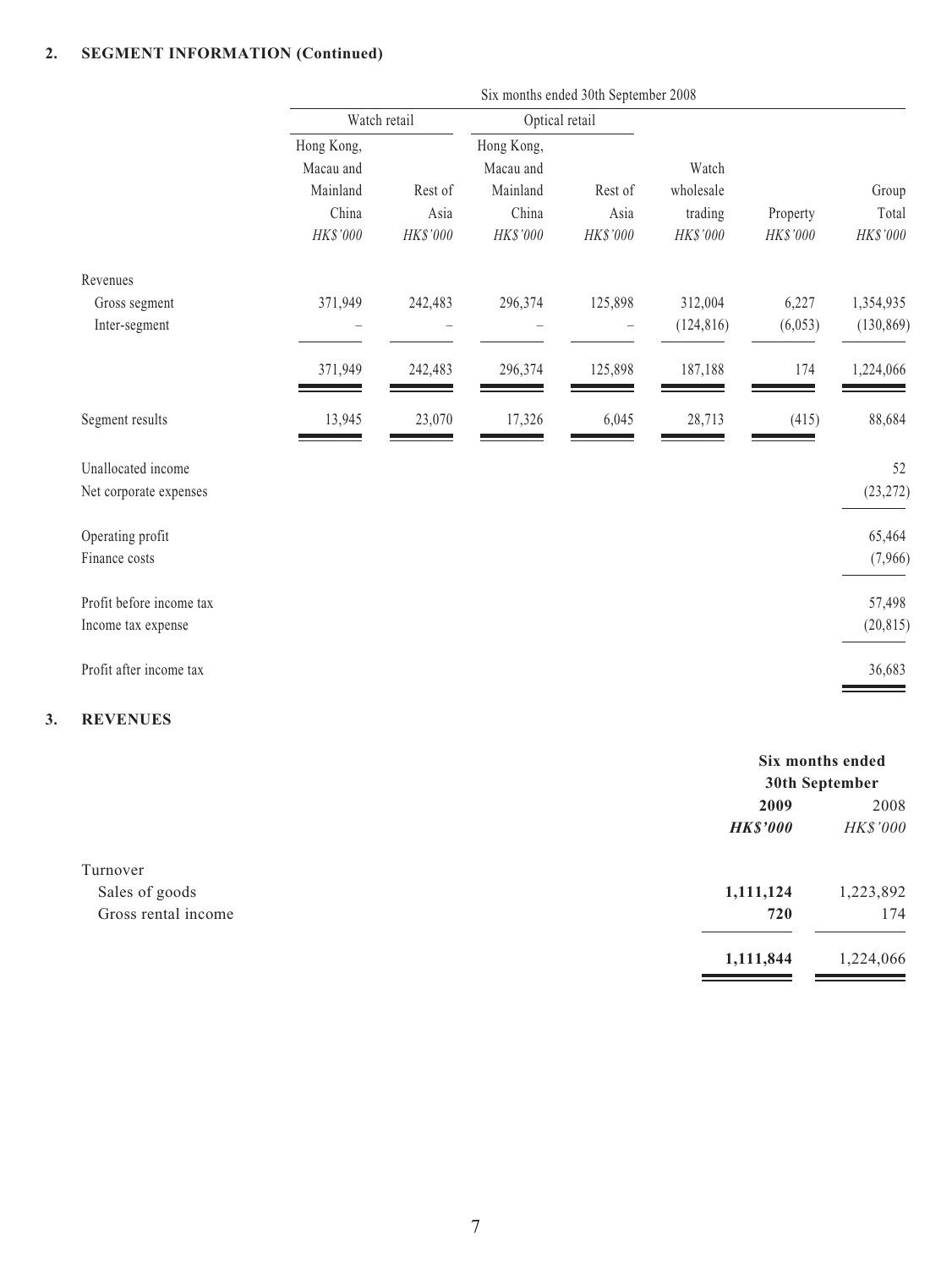#### **2. SEGMENT INFORMATION (Continued)**

|                          | Six months ended 30th September 2008 |          |                         |          |            |          |            |
|--------------------------|--------------------------------------|----------|-------------------------|----------|------------|----------|------------|
|                          | Watch retail                         |          | Optical retail          |          |            |          |            |
|                          | Hong Kong,<br>Macau and              |          | Hong Kong,<br>Macau and |          | Watch      |          |            |
|                          | Mainland                             | Rest of  | Mainland                | Rest of  | wholesale  |          | Group      |
|                          | China                                | Asia     | China                   | Asia     | trading    | Property | Total      |
|                          | HK\$'000                             | HK\$'000 | HK\$'000                | HK\$'000 | HK\$'000   | HK\$'000 | HK\$'000   |
| Revenues                 |                                      |          |                         |          |            |          |            |
| Gross segment            | 371,949                              | 242,483  | 296,374                 | 125,898  | 312,004    | 6,227    | 1,354,935  |
| Inter-segment            |                                      |          |                         |          | (124, 816) | (6,053)  | (130, 869) |
|                          | 371,949                              | 242,483  | 296,374                 | 125,898  | 187,188    | 174      | 1,224,066  |
| Segment results          | 13,945                               | 23,070   | 17,326                  | 6,045    | 28,713     | (415)    | 88,684     |
| Unallocated income       |                                      |          |                         |          |            |          | 52         |
| Net corporate expenses   |                                      |          |                         |          |            |          | (23, 272)  |
| Operating profit         |                                      |          |                         |          |            |          | 65,464     |
| Finance costs            |                                      |          |                         |          |            |          | (7,966)    |
| Profit before income tax |                                      |          |                         |          |            |          | 57,498     |
| Income tax expense       |                                      |          |                         |          |            |          | (20, 815)  |
| Profit after income tax  |                                      |          |                         |          |            |          | 36,683     |
|                          |                                      |          |                         |          |            |          |            |

#### **3. REVENUES**

|                     |                 | Six months ended |  |  |
|---------------------|-----------------|------------------|--|--|
|                     |                 | 30th September   |  |  |
|                     | 2009            | 2008             |  |  |
|                     | <b>HK\$'000</b> | HK\$'000         |  |  |
| Turnover            |                 |                  |  |  |
| Sales of goods      | 1,111,124       | 1,223,892        |  |  |
| Gross rental income | 720             | 174              |  |  |
|                     | 1,111,844       | 1,224,066        |  |  |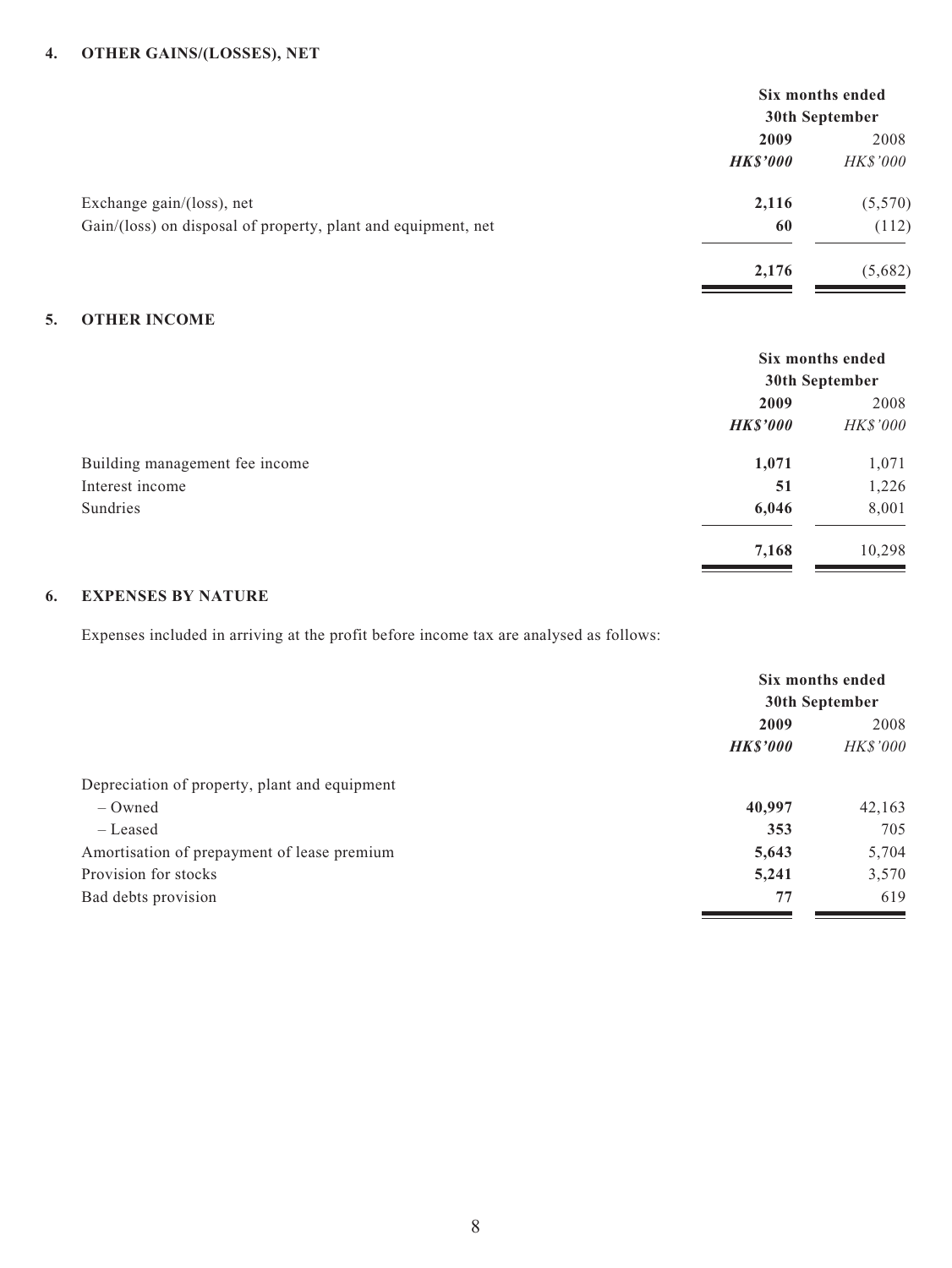#### **4. OTHER GAINS/(LOSSES), NET**

|                                                               | Six months ended |                 |  |
|---------------------------------------------------------------|------------------|-----------------|--|
|                                                               | 30th September   |                 |  |
|                                                               | 2009             | 2008            |  |
|                                                               | <b>HK\$'000</b>  | <i>HK\$'000</i> |  |
| Exchange gain/(loss), net                                     | 2,116            | (5,570)         |  |
| Gain/(loss) on disposal of property, plant and equipment, net | 60               | (112)           |  |
|                                                               | 2,176            | (5,682)         |  |
|                                                               |                  |                 |  |

#### **5. OTHER INCOME**

|                                | Six months ended |          |  |
|--------------------------------|------------------|----------|--|
|                                | 30th September   |          |  |
|                                | 2009             | 2008     |  |
|                                | <b>HK\$'000</b>  | HK\$'000 |  |
| Building management fee income | 1,071            | 1,071    |  |
| Interest income                | 51               | 1,226    |  |
| Sundries                       | 6,046            | 8,001    |  |
|                                | 7,168            | 10,298   |  |

#### **6. EXPENSES BY NATURE**

Expenses included in arriving at the profit before income tax are analysed as follows:

|                                               | Six months ended |                 |
|-----------------------------------------------|------------------|-----------------|
|                                               | 30th September   |                 |
|                                               | 2009             | 2008            |
|                                               | <b>HK\$'000</b>  | <b>HK\$'000</b> |
| Depreciation of property, plant and equipment |                  |                 |
| $-$ Owned                                     | 40,997           | 42,163          |
| - Leased                                      | 353              | 705             |
| Amortisation of prepayment of lease premium   | 5,643            | 5,704           |
| Provision for stocks                          | 5,241            | 3,570           |
| Bad debts provision                           | 77               | 619             |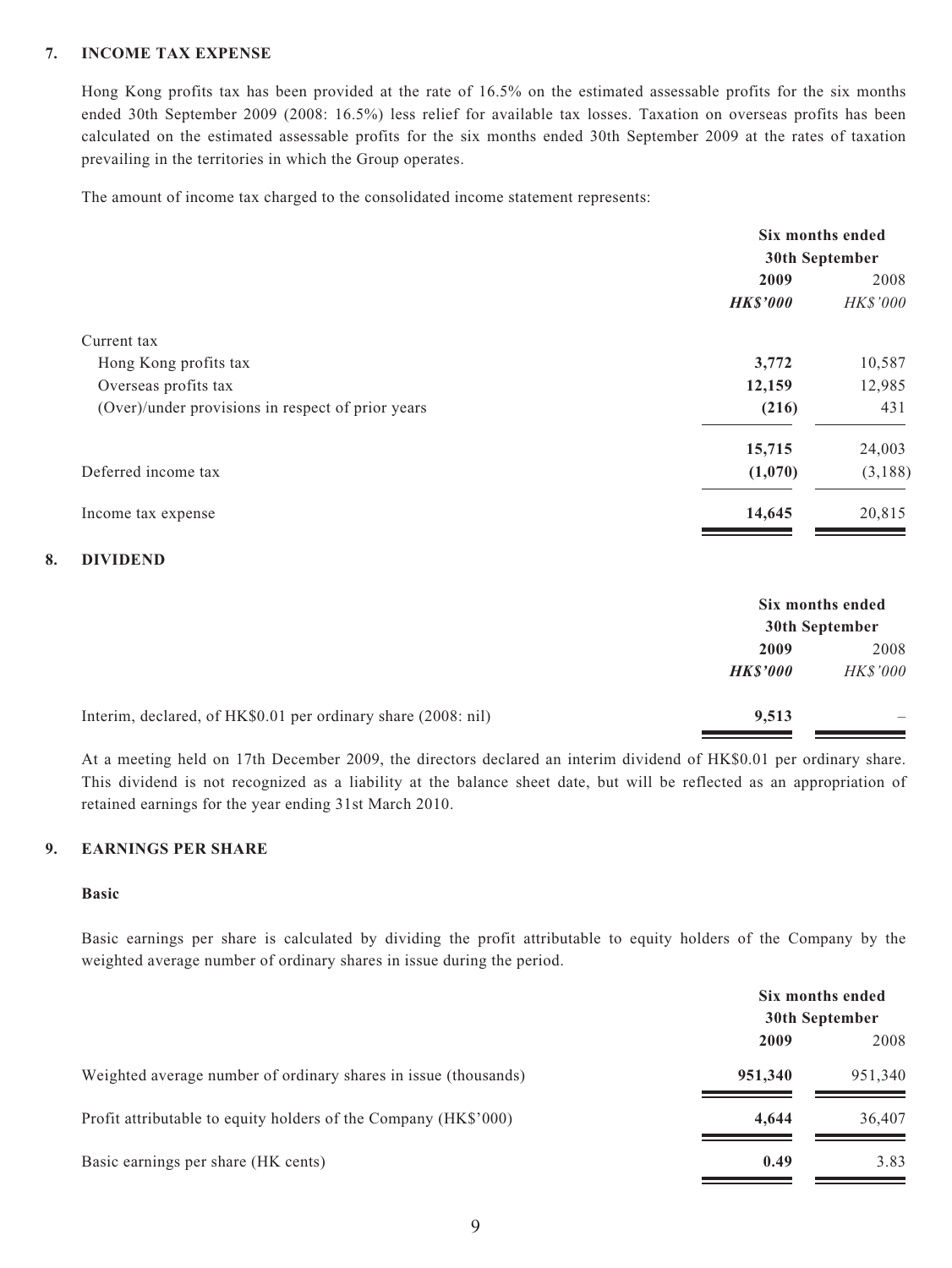#### **7. INCOME TAX EXPENSE**

Hong Kong profits tax has been provided at the rate of 16.5% on the estimated assessable profits for the six months ended 30th September 2009 (2008: 16.5%) less relief for available tax losses. Taxation on overseas profits has been calculated on the estimated assessable profits for the six months ended 30th September 2009 at the rates of taxation prevailing in the territories in which the Group operates.

The amount of income tax charged to the consolidated income statement represents:

|                                                   | Six months ended |          |  |
|---------------------------------------------------|------------------|----------|--|
|                                                   | 30th September   |          |  |
|                                                   | 2009             | 2008     |  |
|                                                   | <b>HK\$'000</b>  | HK\$'000 |  |
| Current tax                                       |                  |          |  |
| Hong Kong profits tax                             | 3,772            | 10,587   |  |
| Overseas profits tax                              | 12,159           | 12,985   |  |
| (Over)/under provisions in respect of prior years | (216)            | 431      |  |
|                                                   | 15,715           | 24,003   |  |
| Deferred income tax                               | (1,070)          | (3, 188) |  |
| Income tax expense                                | 14,645           | 20,815   |  |

#### **8. DIVIDEND**

|                                                               | Six months ended<br>30th September |                 |
|---------------------------------------------------------------|------------------------------------|-----------------|
|                                                               | 2009                               | 2008            |
|                                                               | <b>HKS'000</b>                     | <b>HK\$'000</b> |
| Interim, declared, of HK\$0.01 per ordinary share (2008: nil) | 9,513                              |                 |

At a meeting held on 17th December 2009, the directors declared an interim dividend of HK\$0.01 per ordinary share. This dividend is not recognized as a liability at the balance sheet date, but will be reflected as an appropriation of retained earnings for the year ending 31st March 2010.

#### **9. EARNINGS PER SHARE**

#### **Basic**

Basic earnings per share is calculated by dividing the profit attributable to equity holders of the Company by the weighted average number of ordinary shares in issue during the period.

|                                                                 | Six months ended<br>30th September |         |
|-----------------------------------------------------------------|------------------------------------|---------|
|                                                                 |                                    |         |
|                                                                 | 2009                               | 2008    |
| Weighted average number of ordinary shares in issue (thousands) | 951,340                            | 951,340 |
| Profit attributable to equity holders of the Company (HK\$'000) | 4.644                              | 36,407  |
| Basic earnings per share (HK cents)                             | 0.49                               | 3.83    |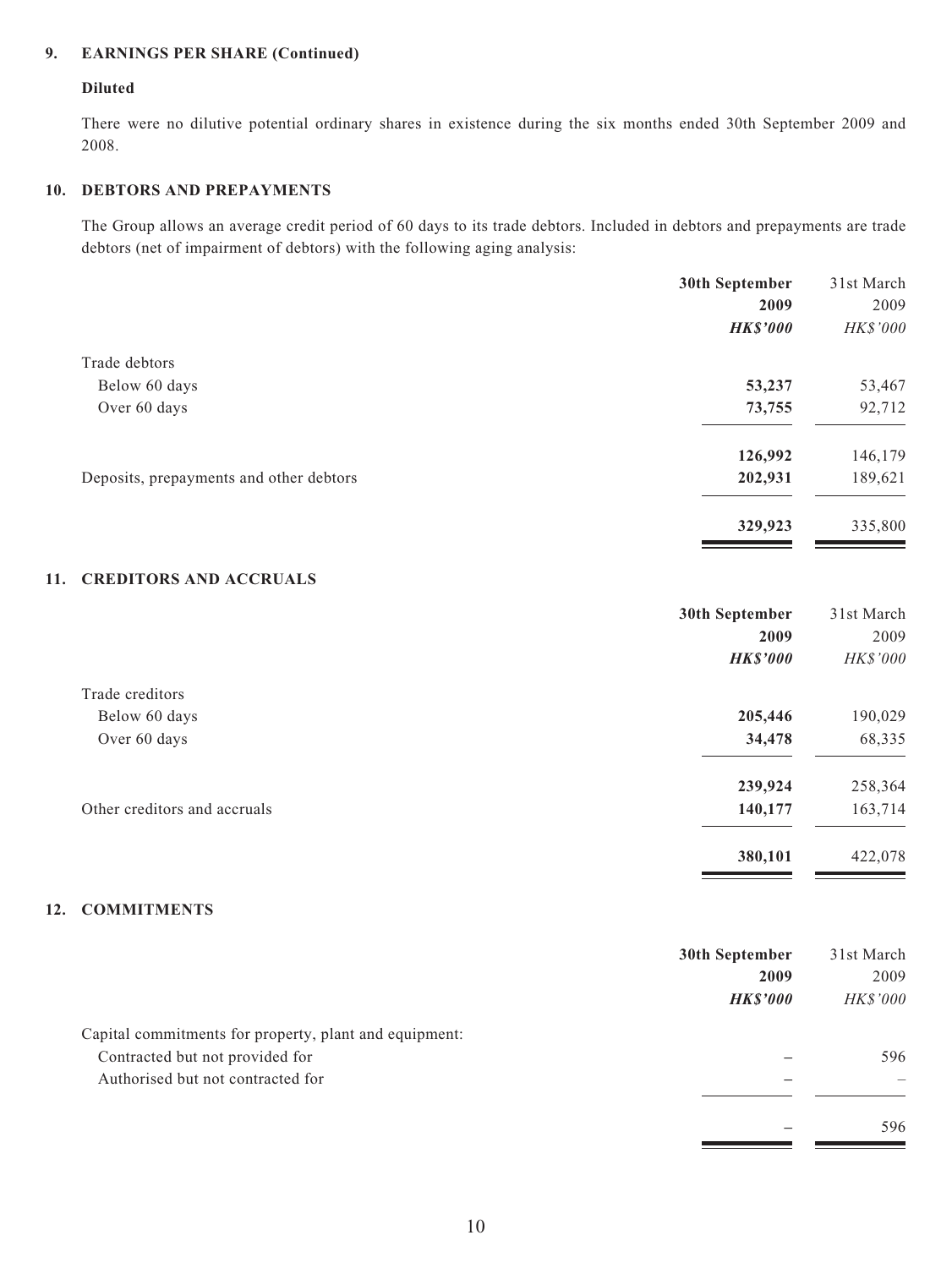#### **9. EARNINGS PER SHARE (Continued)**

#### **Diluted**

There were no dilutive potential ordinary shares in existence during the six months ended 30th September 2009 and 2008.

#### **10. DEBTORS AND PREPAYMENTS**

The Group allows an average credit period of 60 days to its trade debtors. Included in debtors and prepayments are trade debtors (net of impairment of debtors) with the following aging analysis:

|                                         | 30th September  | 31st March |
|-----------------------------------------|-----------------|------------|
|                                         | 2009            | 2009       |
|                                         | <b>HK\$'000</b> | HK\$'000   |
| Trade debtors                           |                 |            |
| Below 60 days                           | 53,237          | 53,467     |
| Over 60 days                            | 73,755          | 92,712     |
|                                         | 126,992         | 146,179    |
| Deposits, prepayments and other debtors | 202,931         | 189,621    |
|                                         | 329,923         | 335,800    |

<u> The Common Second</u>

<u>and the state</u>

**Contract Contract** 

#### **11. CREDITORS AND ACCRUALS**

|                              | 30th September  | 31st March |
|------------------------------|-----------------|------------|
|                              | 2009            | 2009       |
|                              | <b>HK\$'000</b> | HK\$'000   |
| Trade creditors              |                 |            |
| Below 60 days                | 205,446         | 190,029    |
| Over 60 days                 | 34,478          | 68,335     |
|                              | 239,924         | 258,364    |
| Other creditors and accruals | 140,177         | 163,714    |
|                              | 380,101         | 422,078    |

#### **12. COMMITMENTS**

|                                                        | 30th September<br>2009 | 31st March<br>2009 |
|--------------------------------------------------------|------------------------|--------------------|
|                                                        | <b>HKS'000</b>         | <i>HK\$'000</i>    |
| Capital commitments for property, plant and equipment: |                        |                    |
| Contracted but not provided for                        |                        | 596                |
| Authorised but not contracted for                      |                        |                    |
|                                                        |                        | 596                |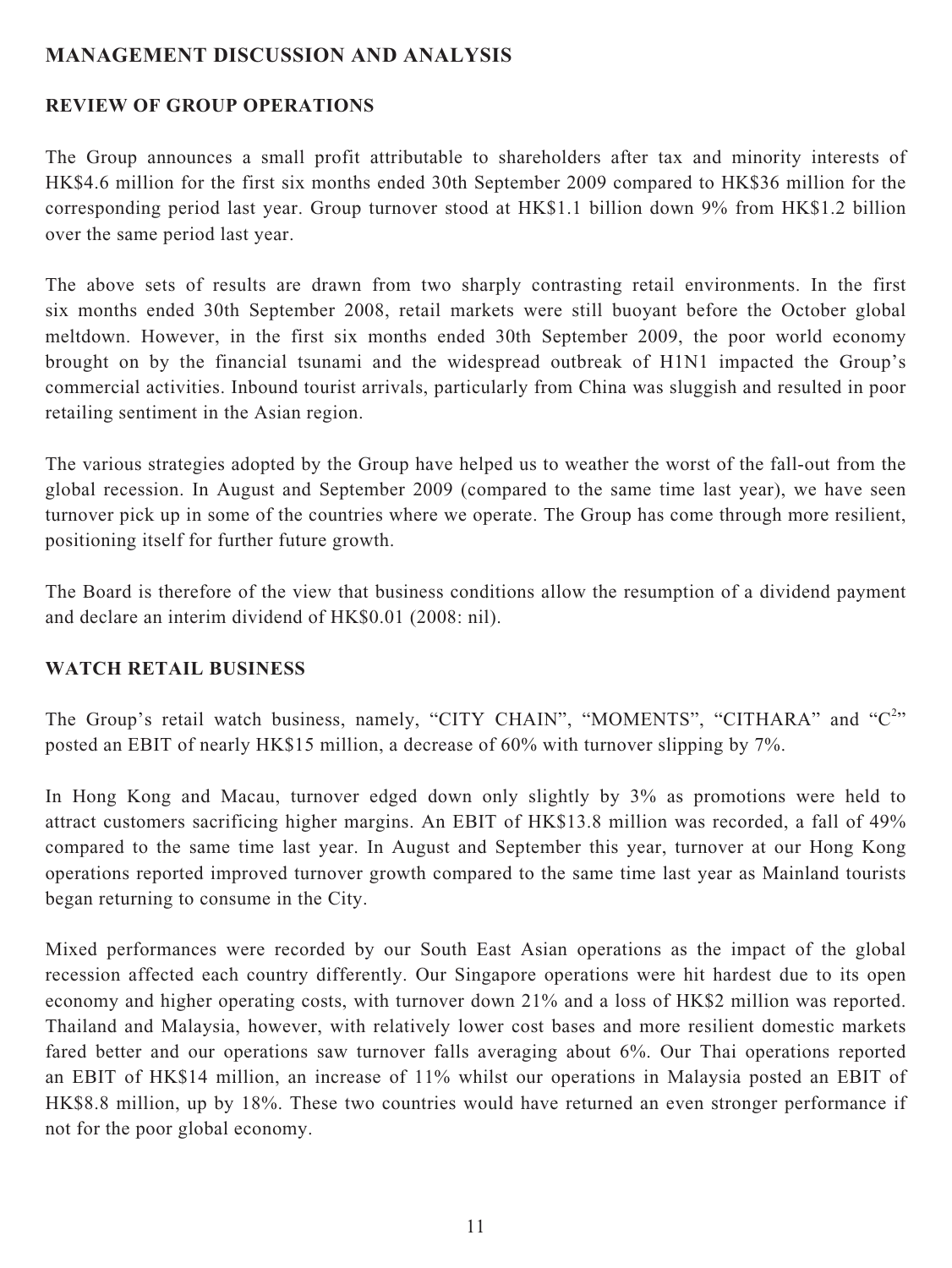## **MANAGEMENT DISCUSSION AND ANALYSIS**

## **REVIEW OF GROUP OPERATIONS**

The Group announces a small profit attributable to shareholders after tax and minority interests of HK\$4.6 million for the first six months ended 30th September 2009 compared to HK\$36 million for the corresponding period last year. Group turnover stood at HK\$1.1 billion down 9% from HK\$1.2 billion over the same period last year.

The above sets of results are drawn from two sharply contrasting retail environments. In the first six months ended 30th September 2008, retail markets were still buoyant before the October global meltdown. However, in the first six months ended 30th September 2009, the poor world economy brought on by the financial tsunami and the widespread outbreak of H1N1 impacted the Group's commercial activities. Inbound tourist arrivals, particularly from China was sluggish and resulted in poor retailing sentiment in the Asian region.

The various strategies adopted by the Group have helped us to weather the worst of the fall-out from the global recession. In August and September 2009 (compared to the same time last year), we have seen turnover pick up in some of the countries where we operate. The Group has come through more resilient, positioning itself for further future growth.

The Board is therefore of the view that business conditions allow the resumption of a dividend payment and declare an interim dividend of HK\$0.01 (2008: nil).

## **WATCH RETAIL BUSINESS**

The Group's retail watch business, namely, "CITY CHAIN", "MOMENTS", "CITHARA" and " $C^{2n}$ posted an EBIT of nearly HK\$15 million, a decrease of 60% with turnover slipping by 7%.

In Hong Kong and Macau, turnover edged down only slightly by 3% as promotions were held to attract customers sacrificing higher margins. An EBIT of HK\$13.8 million was recorded, a fall of 49% compared to the same time last year. In August and September this year, turnover at our Hong Kong operations reported improved turnover growth compared to the same time last year as Mainland tourists began returning to consume in the City.

Mixed performances were recorded by our South East Asian operations as the impact of the global recession affected each country differently. Our Singapore operations were hit hardest due to its open economy and higher operating costs, with turnover down 21% and a loss of HK\$2 million was reported. Thailand and Malaysia, however, with relatively lower cost bases and more resilient domestic markets fared better and our operations saw turnover falls averaging about 6%. Our Thai operations reported an EBIT of HK\$14 million, an increase of 11% whilst our operations in Malaysia posted an EBIT of HK\$8.8 million, up by 18%. These two countries would have returned an even stronger performance if not for the poor global economy.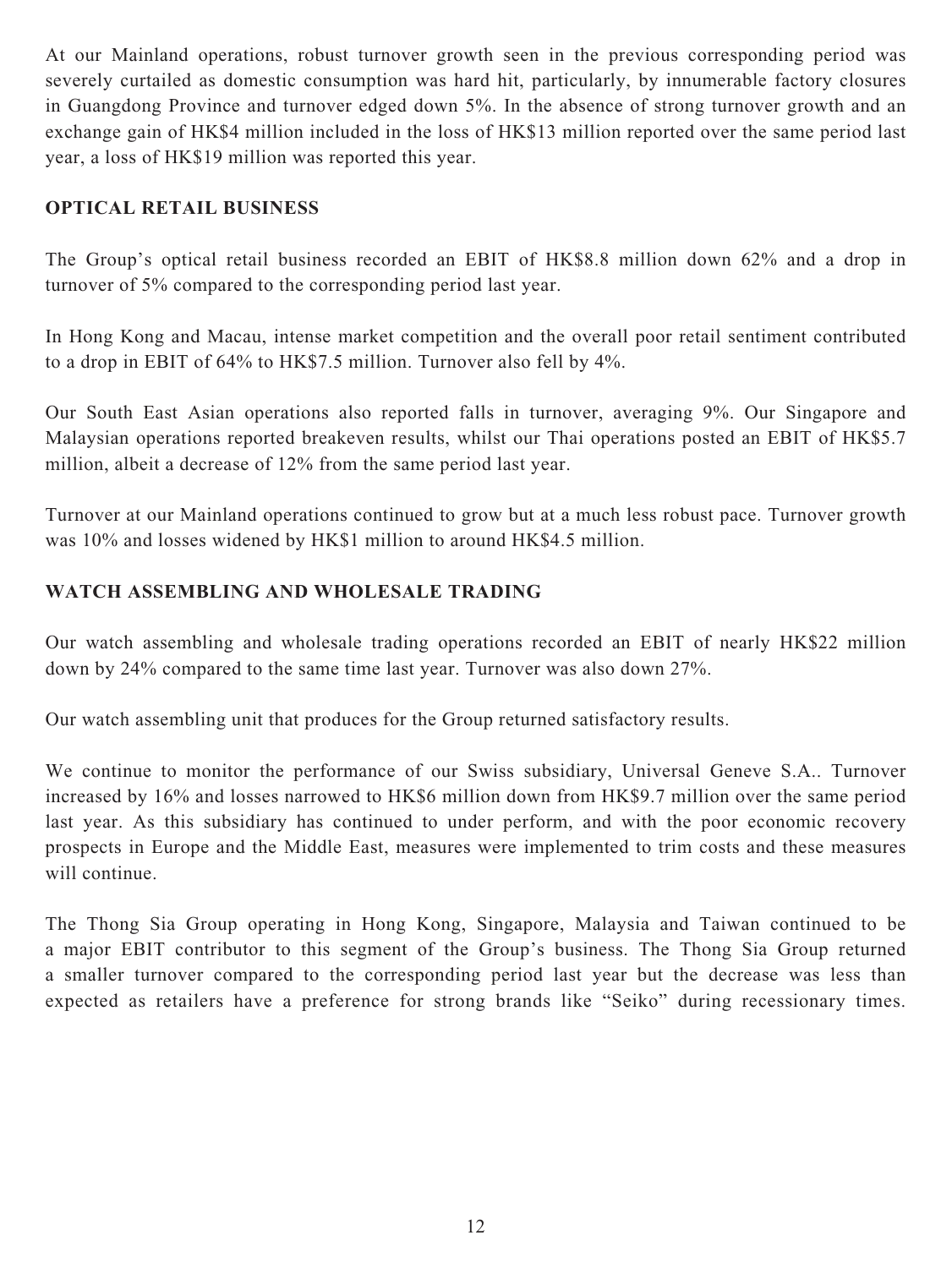At our Mainland operations, robust turnover growth seen in the previous corresponding period was severely curtailed as domestic consumption was hard hit, particularly, by innumerable factory closures in Guangdong Province and turnover edged down 5%. In the absence of strong turnover growth and an exchange gain of HK\$4 million included in the loss of HK\$13 million reported over the same period last year, a loss of HK\$19 million was reported this year.

## **OPTICAL RETAIL BUSINESS**

The Group's optical retail business recorded an EBIT of HK\$8.8 million down 62% and a drop in turnover of 5% compared to the corresponding period last year.

In Hong Kong and Macau, intense market competition and the overall poor retail sentiment contributed to a drop in EBIT of 64% to HK\$7.5 million. Turnover also fell by 4%.

Our South East Asian operations also reported falls in turnover, averaging 9%. Our Singapore and Malaysian operations reported breakeven results, whilst our Thai operations posted an EBIT of HK\$5.7 million, albeit a decrease of 12% from the same period last year.

Turnover at our Mainland operations continued to grow but at a much less robust pace. Turnover growth was 10% and losses widened by HK\$1 million to around HK\$4.5 million.

## **WATCH ASSEMBLING AND WHOLESALE TRADING**

Our watch assembling and wholesale trading operations recorded an EBIT of nearly HK\$22 million down by 24% compared to the same time last year. Turnover was also down 27%.

Our watch assembling unit that produces for the Group returned satisfactory results.

We continue to monitor the performance of our Swiss subsidiary, Universal Geneve S.A.. Turnover increased by 16% and losses narrowed to HK\$6 million down from HK\$9.7 million over the same period last year. As this subsidiary has continued to under perform, and with the poor economic recovery prospects in Europe and the Middle East, measures were implemented to trim costs and these measures will continue.

The Thong Sia Group operating in Hong Kong, Singapore, Malaysia and Taiwan continued to be a major EBIT contributor to this segment of the Group's business. The Thong Sia Group returned a smaller turnover compared to the corresponding period last year but the decrease was less than expected as retailers have a preference for strong brands like "Seiko" during recessionary times.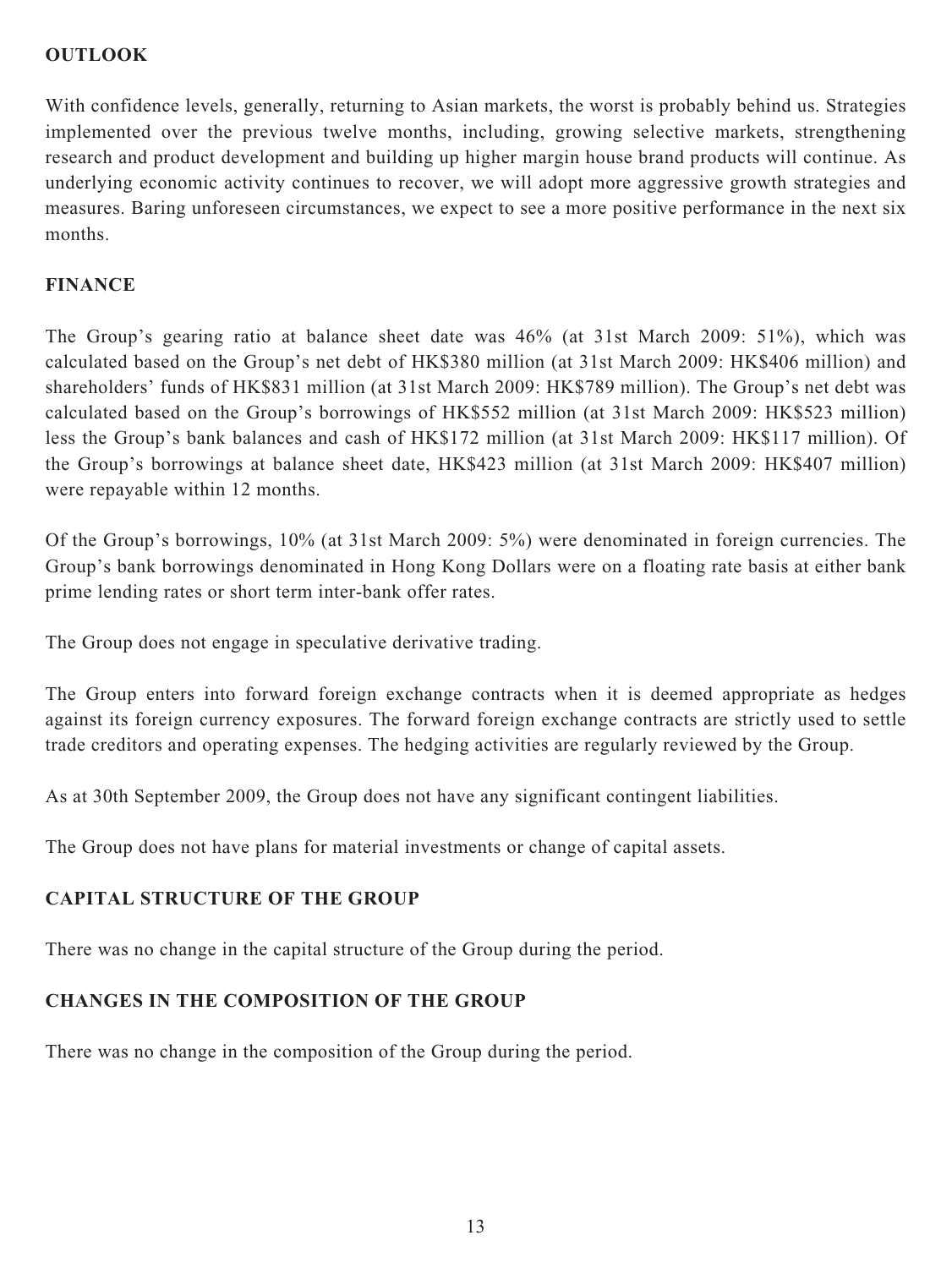## **OUTLOOK**

With confidence levels, generally, returning to Asian markets, the worst is probably behind us. Strategies implemented over the previous twelve months, including, growing selective markets, strengthening research and product development and building up higher margin house brand products will continue. As underlying economic activity continues to recover, we will adopt more aggressive growth strategies and measures. Baring unforeseen circumstances, we expect to see a more positive performance in the next six months.

## **FINANCE**

The Group's gearing ratio at balance sheet date was 46% (at 31st March 2009: 51%), which was calculated based on the Group's net debt of HK\$380 million (at 31st March 2009: HK\$406 million) and shareholders' funds of HK\$831 million (at 31st March 2009: HK\$789 million). The Group's net debt was calculated based on the Group's borrowings of HK\$552 million (at 31st March 2009: HK\$523 million) less the Group's bank balances and cash of HK\$172 million (at 31st March 2009: HK\$117 million). Of the Group's borrowings at balance sheet date, HK\$423 million (at 31st March 2009: HK\$407 million) were repayable within 12 months.

Of the Group's borrowings, 10% (at 31st March 2009: 5%) were denominated in foreign currencies. The Group's bank borrowings denominated in Hong Kong Dollars were on a floating rate basis at either bank prime lending rates or short term inter-bank offer rates.

The Group does not engage in speculative derivative trading.

The Group enters into forward foreign exchange contracts when it is deemed appropriate as hedges against its foreign currency exposures. The forward foreign exchange contracts are strictly used to settle trade creditors and operating expenses. The hedging activities are regularly reviewed by the Group.

As at 30th September 2009, the Group does not have any significant contingent liabilities.

The Group does not have plans for material investments or change of capital assets.

## **CAPITAL STRUCTURE OF THE GROUP**

There was no change in the capital structure of the Group during the period.

# **CHANGES IN THE COMPOSITION OF THE GROUP**

There was no change in the composition of the Group during the period.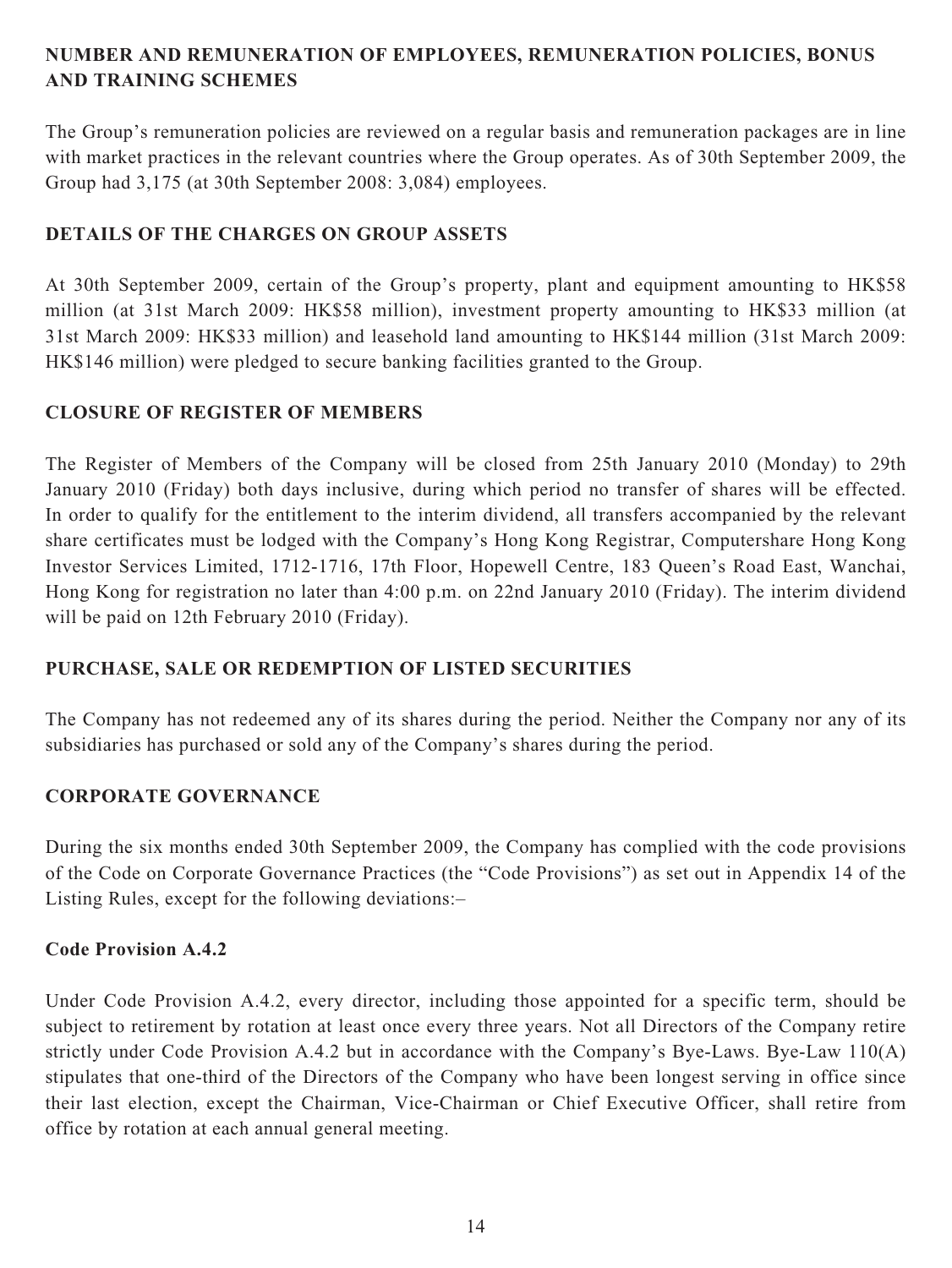## **NUMBER AND REMUNERATION OF EMPLOYEES, REMUNERATION POLICIES, BONUS AND TRAINING SCHEMES**

The Group's remuneration policies are reviewed on a regular basis and remuneration packages are in line with market practices in the relevant countries where the Group operates. As of 30th September 2009, the Group had 3,175 (at 30th September 2008: 3,084) employees.

## **DETAILS OF THE CHARGES ON GROUP ASSETS**

At 30th September 2009, certain of the Group's property, plant and equipment amounting to HK\$58 million (at 31st March 2009: HK\$58 million), investment property amounting to HK\$33 million (at 31st March 2009: HK\$33 million) and leasehold land amounting to HK\$144 million (31st March 2009: HK\$146 million) were pledged to secure banking facilities granted to the Group.

## **CLOSURE OF REGISTER OF MEMBERS**

The Register of Members of the Company will be closed from 25th January 2010 (Monday) to 29th January 2010 (Friday) both days inclusive, during which period no transfer of shares will be effected. In order to qualify for the entitlement to the interim dividend, all transfers accompanied by the relevant share certificates must be lodged with the Company's Hong Kong Registrar, Computershare Hong Kong Investor Services Limited, 1712-1716, 17th Floor, Hopewell Centre, 183 Queen's Road East, Wanchai, Hong Kong for registration no later than 4:00 p.m. on 22nd January 2010 (Friday). The interim dividend will be paid on 12th February 2010 (Friday).

## **PURCHASE, SALE OR REDEMPTION OF LISTED SECURITIES**

The Company has not redeemed any of its shares during the period. Neither the Company nor any of its subsidiaries has purchased or sold any of the Company's shares during the period.

## **CORPORATE GOVERNANCE**

During the six months ended 30th September 2009, the Company has complied with the code provisions of the Code on Corporate Governance Practices (the "Code Provisions") as set out in Appendix 14 of the Listing Rules, except for the following deviations:–

## **Code Provision A.4.2**

Under Code Provision A.4.2, every director, including those appointed for a specific term, should be subject to retirement by rotation at least once every three years. Not all Directors of the Company retire strictly under Code Provision A.4.2 but in accordance with the Company's Bye-Laws. Bye-Law 110(A) stipulates that one-third of the Directors of the Company who have been longest serving in office since their last election, except the Chairman, Vice-Chairman or Chief Executive Officer, shall retire from office by rotation at each annual general meeting.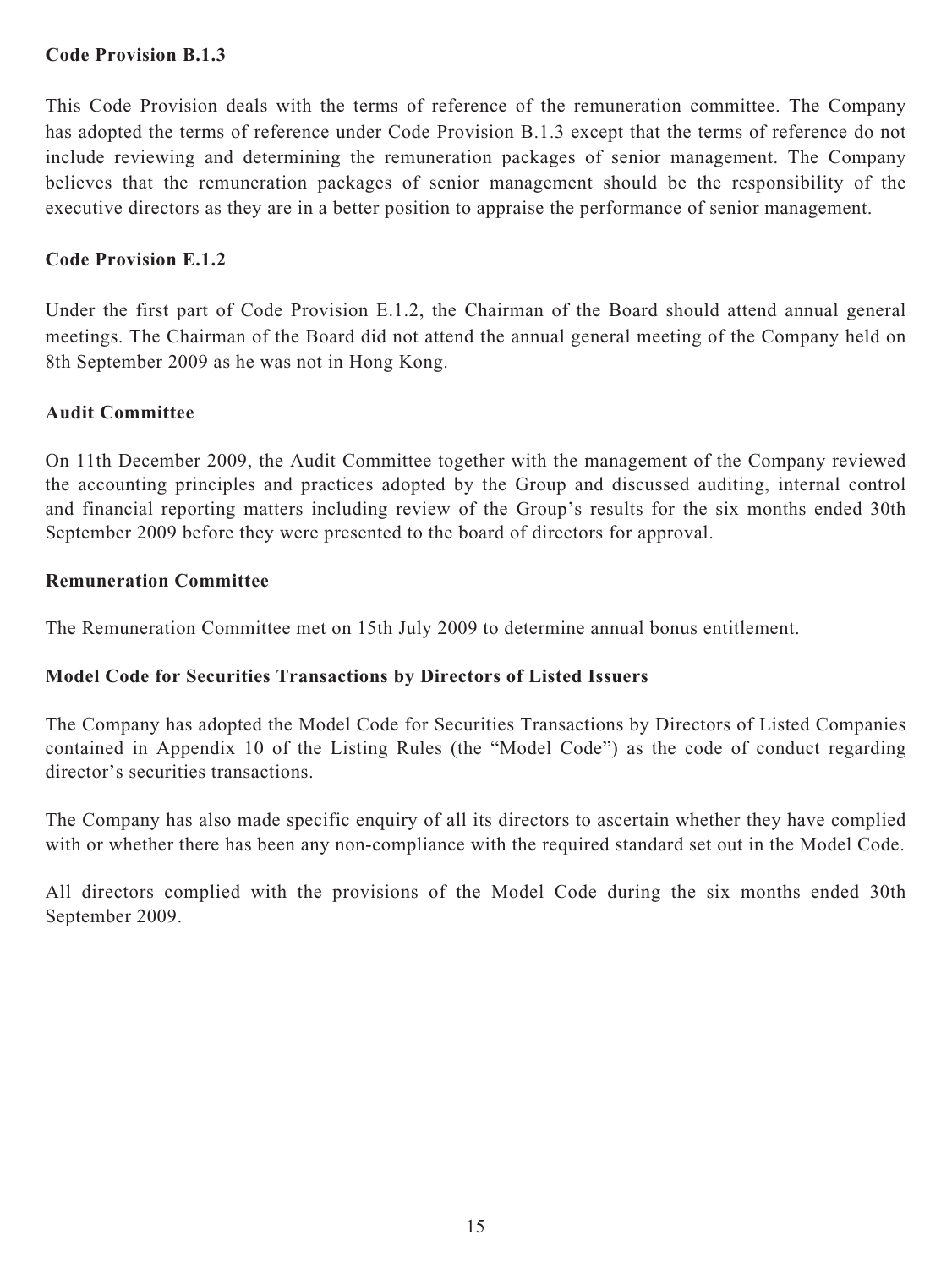## **Code Provision B.1.3**

This Code Provision deals with the terms of reference of the remuneration committee. The Company has adopted the terms of reference under Code Provision B.1.3 except that the terms of reference do not include reviewing and determining the remuneration packages of senior management. The Company believes that the remuneration packages of senior management should be the responsibility of the executive directors as they are in a better position to appraise the performance of senior management.

## **Code Provision E.1.2**

Under the first part of Code Provision E.1.2, the Chairman of the Board should attend annual general meetings. The Chairman of the Board did not attend the annual general meeting of the Company held on 8th September 2009 as he was not in Hong Kong.

## **Audit Committee**

On 11th December 2009, the Audit Committee together with the management of the Company reviewed the accounting principles and practices adopted by the Group and discussed auditing, internal control and financial reporting matters including review of the Group's results for the six months ended 30th September 2009 before they were presented to the board of directors for approval.

## **Remuneration Committee**

The Remuneration Committee met on 15th July 2009 to determine annual bonus entitlement.

## **Model Code for Securities Transactions by Directors of Listed Issuers**

The Company has adopted the Model Code for Securities Transactions by Directors of Listed Companies contained in Appendix 10 of the Listing Rules (the "Model Code") as the code of conduct regarding director's securities transactions.

The Company has also made specific enquiry of all its directors to ascertain whether they have complied with or whether there has been any non-compliance with the required standard set out in the Model Code.

All directors complied with the provisions of the Model Code during the six months ended 30th September 2009.